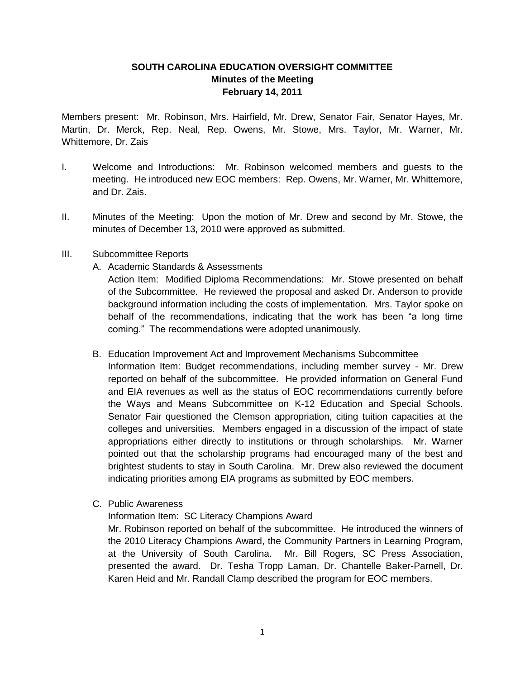# **SOUTH CAROLINA EDUCATION OVERSIGHT COMMITTEE Minutes of the Meeting February 14, 2011**

Members present: Mr. Robinson, Mrs. Hairfield, Mr. Drew, Senator Fair, Senator Hayes, Mr. Martin, Dr. Merck, Rep. Neal, Rep. Owens, Mr. Stowe, Mrs. Taylor, Mr. Warner, Mr. Whittemore, Dr. Zais

- I. Welcome and Introductions: Mr. Robinson welcomed members and guests to the meeting. He introduced new EOC members: Rep. Owens, Mr. Warner, Mr. Whittemore, and Dr. Zais.
- II. Minutes of the Meeting: Upon the motion of Mr. Drew and second by Mr. Stowe, the minutes of December 13, 2010 were approved as submitted.
- III. Subcommittee Reports
	- A. Academic Standards & Assessments

Action Item: Modified Diploma Recommendations: Mr. Stowe presented on behalf of the Subcommittee. He reviewed the proposal and asked Dr. Anderson to provide background information including the costs of implementation. Mrs. Taylor spoke on behalf of the recommendations, indicating that the work has been "a long time coming." The recommendations were adopted unanimously.

B. Education Improvement Act and Improvement Mechanisms Subcommittee

Information Item: Budget recommendations, including member survey - Mr. Drew reported on behalf of the subcommittee. He provided information on General Fund and EIA revenues as well as the status of EOC recommendations currently before the Ways and Means Subcommittee on K-12 Education and Special Schools. Senator Fair questioned the Clemson appropriation, citing tuition capacities at the colleges and universities. Members engaged in a discussion of the impact of state appropriations either directly to institutions or through scholarships. Mr. Warner pointed out that the scholarship programs had encouraged many of the best and brightest students to stay in South Carolina. Mr. Drew also reviewed the document indicating priorities among EIA programs as submitted by EOC members.

C. Public Awareness

Information Item: SC Literacy Champions Award

Mr. Robinson reported on behalf of the subcommittee. He introduced the winners of the 2010 Literacy Champions Award, the Community Partners in Learning Program, at the University of South Carolina. Mr. Bill Rogers, SC Press Association, presented the award. Dr. Tesha Tropp Laman, Dr. Chantelle Baker-Parnell, Dr. Karen Heid and Mr. Randall Clamp described the program for EOC members.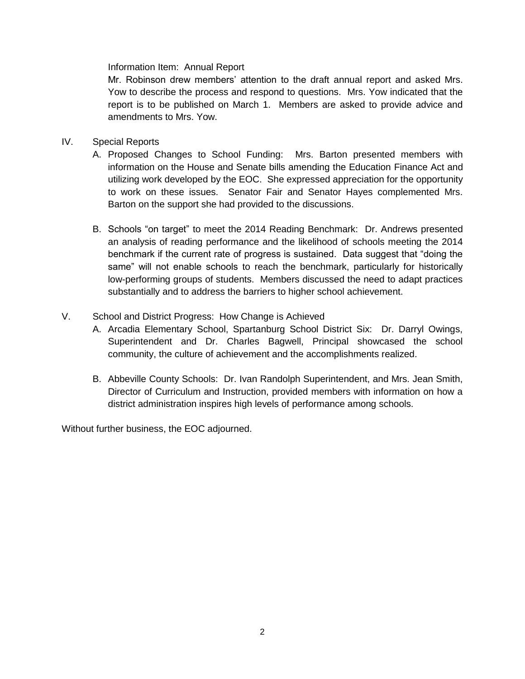Information Item: Annual Report

Mr. Robinson drew members' attention to the draft annual report and asked Mrs. Yow to describe the process and respond to questions. Mrs. Yow indicated that the report is to be published on March 1. Members are asked to provide advice and amendments to Mrs. Yow.

- IV. Special Reports
	- A. Proposed Changes to School Funding: Mrs. Barton presented members with information on the House and Senate bills amending the Education Finance Act and utilizing work developed by the EOC. She expressed appreciation for the opportunity to work on these issues. Senator Fair and Senator Hayes complemented Mrs. Barton on the support she had provided to the discussions.
	- B. Schools "on target" to meet the 2014 Reading Benchmark: Dr. Andrews presented an analysis of reading performance and the likelihood of schools meeting the 2014 benchmark if the current rate of progress is sustained. Data suggest that "doing the same" will not enable schools to reach the benchmark, particularly for historically low-performing groups of students. Members discussed the need to adapt practices substantially and to address the barriers to higher school achievement.

# V. School and District Progress: How Change is Achieved

- A. Arcadia Elementary School, Spartanburg School District Six: Dr. Darryl Owings, Superintendent and Dr. Charles Bagwell, Principal showcased the school community, the culture of achievement and the accomplishments realized.
- B. Abbeville County Schools: Dr. Ivan Randolph Superintendent, and Mrs. Jean Smith, Director of Curriculum and Instruction, provided members with information on how a district administration inspires high levels of performance among schools.

Without further business, the EOC adjourned.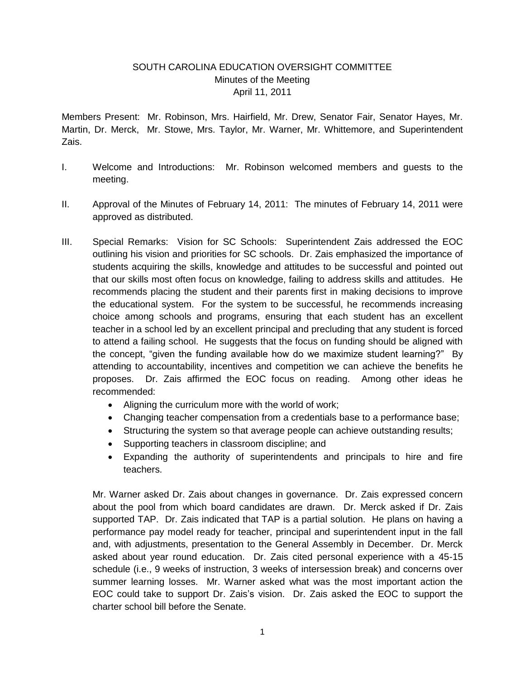# SOUTH CAROLINA EDUCATION OVERSIGHT COMMITTEE Minutes of the Meeting April 11, 2011

Members Present: Mr. Robinson, Mrs. Hairfield, Mr. Drew, Senator Fair, Senator Hayes, Mr. Martin, Dr. Merck, Mr. Stowe, Mrs. Taylor, Mr. Warner, Mr. Whittemore, and Superintendent Zais.

- I. Welcome and Introductions: Mr. Robinson welcomed members and guests to the meeting.
- II. Approval of the Minutes of February 14, 2011: The minutes of February 14, 2011 were approved as distributed.
- III. Special Remarks: Vision for SC Schools: Superintendent Zais addressed the EOC outlining his vision and priorities for SC schools. Dr. Zais emphasized the importance of students acquiring the skills, knowledge and attitudes to be successful and pointed out that our skills most often focus on knowledge, failing to address skills and attitudes. He recommends placing the student and their parents first in making decisions to improve the educational system. For the system to be successful, he recommends increasing choice among schools and programs, ensuring that each student has an excellent teacher in a school led by an excellent principal and precluding that any student is forced to attend a failing school. He suggests that the focus on funding should be aligned with the concept, "given the funding available how do we maximize student learning?" By attending to accountability, incentives and competition we can achieve the benefits he proposes. Dr. Zais affirmed the EOC focus on reading. Among other ideas he recommended:
	- Aligning the curriculum more with the world of work;
	- Changing teacher compensation from a credentials base to a performance base;
	- Structuring the system so that average people can achieve outstanding results;
	- Supporting teachers in classroom discipline; and
	- Expanding the authority of superintendents and principals to hire and fire teachers.

Mr. Warner asked Dr. Zais about changes in governance. Dr. Zais expressed concern about the pool from which board candidates are drawn. Dr. Merck asked if Dr. Zais supported TAP. Dr. Zais indicated that TAP is a partial solution. He plans on having a performance pay model ready for teacher, principal and superintendent input in the fall and, with adjustments, presentation to the General Assembly in December. Dr. Merck asked about year round education. Dr. Zais cited personal experience with a 45-15 schedule (i.e., 9 weeks of instruction, 3 weeks of intersession break) and concerns over summer learning losses. Mr. Warner asked what was the most important action the EOC could take to support Dr. Zais's vision. Dr. Zais asked the EOC to support the charter school bill before the Senate.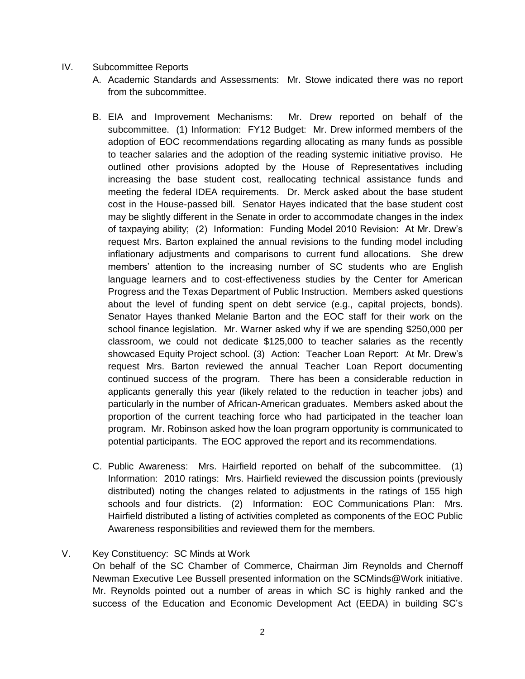- IV. Subcommittee Reports
	- A. Academic Standards and Assessments: Mr. Stowe indicated there was no report from the subcommittee.
	- B. EIA and Improvement Mechanisms: Mr. Drew reported on behalf of the subcommittee. (1) Information: FY12 Budget: Mr. Drew informed members of the adoption of EOC recommendations regarding allocating as many funds as possible to teacher salaries and the adoption of the reading systemic initiative proviso. He outlined other provisions adopted by the House of Representatives including increasing the base student cost, reallocating technical assistance funds and meeting the federal IDEA requirements. Dr. Merck asked about the base student cost in the House-passed bill. Senator Hayes indicated that the base student cost may be slightly different in the Senate in order to accommodate changes in the index of taxpaying ability; (2) Information: Funding Model 2010 Revision: At Mr. Drew's request Mrs. Barton explained the annual revisions to the funding model including inflationary adjustments and comparisons to current fund allocations. She drew members' attention to the increasing number of SC students who are English language learners and to cost-effectiveness studies by the Center for American Progress and the Texas Department of Public Instruction. Members asked questions about the level of funding spent on debt service (e.g., capital projects, bonds). Senator Hayes thanked Melanie Barton and the EOC staff for their work on the school finance legislation. Mr. Warner asked why if we are spending \$250,000 per classroom, we could not dedicate \$125,000 to teacher salaries as the recently showcased Equity Project school. (3) Action: Teacher Loan Report: At Mr. Drew's request Mrs. Barton reviewed the annual Teacher Loan Report documenting continued success of the program. There has been a considerable reduction in applicants generally this year (likely related to the reduction in teacher jobs) and particularly in the number of African-American graduates. Members asked about the proportion of the current teaching force who had participated in the teacher loan program. Mr. Robinson asked how the loan program opportunity is communicated to potential participants. The EOC approved the report and its recommendations.
	- C. Public Awareness: Mrs. Hairfield reported on behalf of the subcommittee. (1) Information: 2010 ratings: Mrs. Hairfield reviewed the discussion points (previously distributed) noting the changes related to adjustments in the ratings of 155 high schools and four districts. (2) Information: EOC Communications Plan: Mrs. Hairfield distributed a listing of activities completed as components of the EOC Public Awareness responsibilities and reviewed them for the members.

## V. Key Constituency: SC Minds at Work

On behalf of the SC Chamber of Commerce, Chairman Jim Reynolds and Chernoff Newman Executive Lee Bussell presented information on the SCMinds@Work initiative. Mr. Reynolds pointed out a number of areas in which SC is highly ranked and the success of the Education and Economic Development Act (EEDA) in building SC's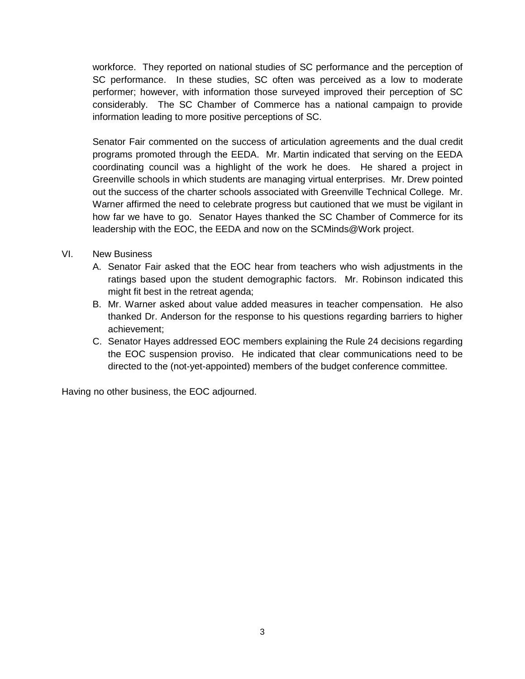workforce. They reported on national studies of SC performance and the perception of SC performance. In these studies, SC often was perceived as a low to moderate performer; however, with information those surveyed improved their perception of SC considerably. The SC Chamber of Commerce has a national campaign to provide information leading to more positive perceptions of SC.

Senator Fair commented on the success of articulation agreements and the dual credit programs promoted through the EEDA. Mr. Martin indicated that serving on the EEDA coordinating council was a highlight of the work he does. He shared a project in Greenville schools in which students are managing virtual enterprises. Mr. Drew pointed out the success of the charter schools associated with Greenville Technical College. Mr. Warner affirmed the need to celebrate progress but cautioned that we must be vigilant in how far we have to go. Senator Hayes thanked the SC Chamber of Commerce for its leadership with the EOC, the EEDA and now on the SCMinds@Work project.

# VI. New Business

- A. Senator Fair asked that the EOC hear from teachers who wish adjustments in the ratings based upon the student demographic factors. Mr. Robinson indicated this might fit best in the retreat agenda;
- B. Mr. Warner asked about value added measures in teacher compensation. He also thanked Dr. Anderson for the response to his questions regarding barriers to higher achievement;
- C. Senator Hayes addressed EOC members explaining the Rule 24 decisions regarding the EOC suspension proviso. He indicated that clear communications need to be directed to the (not-yet-appointed) members of the budget conference committee.

Having no other business, the EOC adjourned.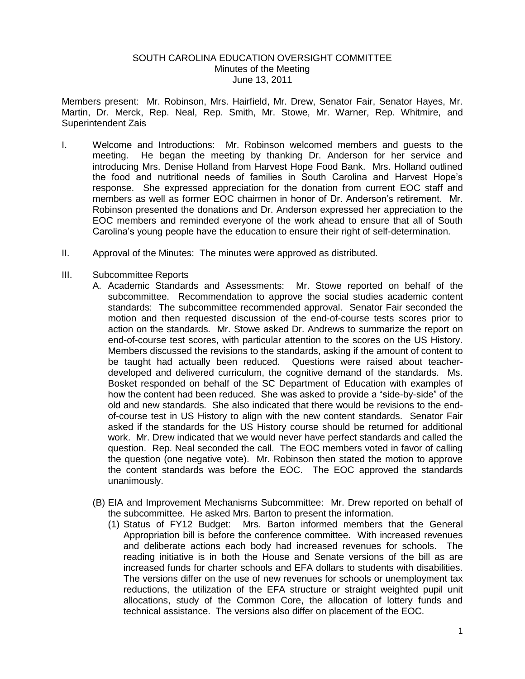## SOUTH CAROLINA EDUCATION OVERSIGHT COMMITTEE Minutes of the Meeting June 13, 2011

Members present: Mr. Robinson, Mrs. Hairfield, Mr. Drew, Senator Fair, Senator Hayes, Mr. Martin, Dr. Merck, Rep. Neal, Rep. Smith, Mr. Stowe, Mr. Warner, Rep. Whitmire, and Superintendent Zais

- I. Welcome and Introductions: Mr. Robinson welcomed members and guests to the meeting. He began the meeting by thanking Dr. Anderson for her service and introducing Mrs. Denise Holland from Harvest Hope Food Bank. Mrs. Holland outlined the food and nutritional needs of families in South Carolina and Harvest Hope's response. She expressed appreciation for the donation from current EOC staff and members as well as former EOC chairmen in honor of Dr. Anderson's retirement. Mr. Robinson presented the donations and Dr. Anderson expressed her appreciation to the EOC members and reminded everyone of the work ahead to ensure that all of South Carolina's young people have the education to ensure their right of self-determination.
- II. Approval of the Minutes: The minutes were approved as distributed.
- III. Subcommittee Reports
	- A. Academic Standards and Assessments: Mr. Stowe reported on behalf of the subcommittee. Recommendation to approve the social studies academic content standards: The subcommittee recommended approval. Senator Fair seconded the motion and then requested discussion of the end-of-course tests scores prior to action on the standards. Mr. Stowe asked Dr. Andrews to summarize the report on end-of-course test scores, with particular attention to the scores on the US History. Members discussed the revisions to the standards, asking if the amount of content to be taught had actually been reduced. Questions were raised about teacherdeveloped and delivered curriculum, the cognitive demand of the standards. Ms. Bosket responded on behalf of the SC Department of Education with examples of how the content had been reduced. She was asked to provide a "side-by-side" of the old and new standards. She also indicated that there would be revisions to the endof-course test in US History to align with the new content standards. Senator Fair asked if the standards for the US History course should be returned for additional work. Mr. Drew indicated that we would never have perfect standards and called the question. Rep. Neal seconded the call. The EOC members voted in favor of calling the question (one negative vote). Mr. Robinson then stated the motion to approve the content standards was before the EOC. The EOC approved the standards unanimously.
	- (B) EIA and Improvement Mechanisms Subcommittee: Mr. Drew reported on behalf of the subcommittee. He asked Mrs. Barton to present the information.
		- (1) Status of FY12 Budget: Mrs. Barton informed members that the General Appropriation bill is before the conference committee. With increased revenues and deliberate actions each body had increased revenues for schools. The reading initiative is in both the House and Senate versions of the bill as are increased funds for charter schools and EFA dollars to students with disabilities. The versions differ on the use of new revenues for schools or unemployment tax reductions, the utilization of the EFA structure or straight weighted pupil unit allocations, study of the Common Core, the allocation of lottery funds and technical assistance. The versions also differ on placement of the EOC.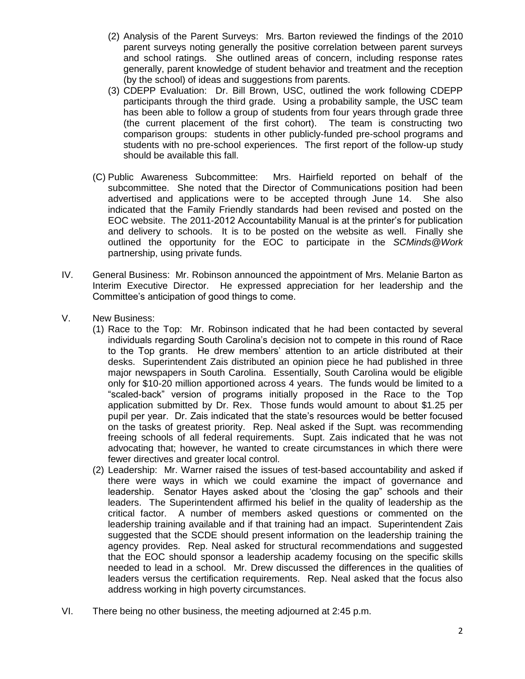- (2) Analysis of the Parent Surveys: Mrs. Barton reviewed the findings of the 2010 parent surveys noting generally the positive correlation between parent surveys and school ratings. She outlined areas of concern, including response rates generally, parent knowledge of student behavior and treatment and the reception (by the school) of ideas and suggestions from parents.
- (3) CDEPP Evaluation: Dr. Bill Brown, USC, outlined the work following CDEPP participants through the third grade. Using a probability sample, the USC team has been able to follow a group of students from four years through grade three (the current placement of the first cohort). The team is constructing two comparison groups: students in other publicly-funded pre-school programs and students with no pre-school experiences. The first report of the follow-up study should be available this fall.
- (C) Public Awareness Subcommittee: Mrs. Hairfield reported on behalf of the subcommittee. She noted that the Director of Communications position had been advertised and applications were to be accepted through June 14. She also indicated that the Family Friendly standards had been revised and posted on the EOC website. The 2011-2012 Accountability Manual is at the printer's for publication and delivery to schools. It is to be posted on the website as well. Finally she outlined the opportunity for the EOC to participate in the *SCMinds@Work*  partnership, using private funds.
- IV. General Business: Mr. Robinson announced the appointment of Mrs. Melanie Barton as Interim Executive Director. He expressed appreciation for her leadership and the Committee's anticipation of good things to come.
- V. New Business:
	- (1) Race to the Top: Mr. Robinson indicated that he had been contacted by several individuals regarding South Carolina's decision not to compete in this round of Race to the Top grants. He drew members' attention to an article distributed at their desks. Superintendent Zais distributed an opinion piece he had published in three major newspapers in South Carolina. Essentially, South Carolina would be eligible only for \$10-20 million apportioned across 4 years. The funds would be limited to a "scaled-back" version of programs initially proposed in the Race to the Top application submitted by Dr. Rex. Those funds would amount to about \$1.25 per pupil per year. Dr. Zais indicated that the state's resources would be better focused on the tasks of greatest priority. Rep. Neal asked if the Supt. was recommending freeing schools of all federal requirements. Supt. Zais indicated that he was not advocating that; however, he wanted to create circumstances in which there were fewer directives and greater local control.
	- (2) Leadership: Mr. Warner raised the issues of test-based accountability and asked if there were ways in which we could examine the impact of governance and leadership. Senator Hayes asked about the 'closing the gap" schools and their leaders. The Superintendent affirmed his belief in the quality of leadership as the critical factor. A number of members asked questions or commented on the leadership training available and if that training had an impact. Superintendent Zais suggested that the SCDE should present information on the leadership training the agency provides. Rep. Neal asked for structural recommendations and suggested that the EOC should sponsor a leadership academy focusing on the specific skills needed to lead in a school. Mr. Drew discussed the differences in the qualities of leaders versus the certification requirements. Rep. Neal asked that the focus also address working in high poverty circumstances.
- VI. There being no other business, the meeting adjourned at 2:45 p.m.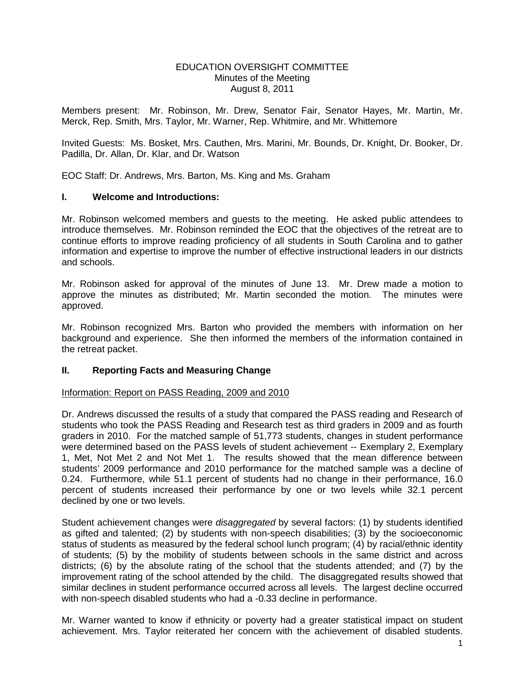#### EDUCATION OVERSIGHT COMMITTEE Minutes of the Meeting August 8, 2011

Members present: Mr. Robinson, Mr. Drew, Senator Fair, Senator Hayes, Mr. Martin, Mr. Merck, Rep. Smith, Mrs. Taylor, Mr. Warner, Rep. Whitmire, and Mr. Whittemore

Invited Guests: Ms. Bosket, Mrs. Cauthen, Mrs. Marini, Mr. Bounds, Dr. Knight, Dr. Booker, Dr. Padilla, Dr. Allan, Dr. Klar, and Dr. Watson

EOC Staff: Dr. Andrews, Mrs. Barton, Ms. King and Ms. Graham

### **I. Welcome and Introductions:**

Mr. Robinson welcomed members and guests to the meeting. He asked public attendees to introduce themselves. Mr. Robinson reminded the EOC that the objectives of the retreat are to continue efforts to improve reading proficiency of all students in South Carolina and to gather information and expertise to improve the number of effective instructional leaders in our districts and schools.

Mr. Robinson asked for approval of the minutes of June 13. Mr. Drew made a motion to approve the minutes as distributed; Mr. Martin seconded the motion. The minutes were approved.

Mr. Robinson recognized Mrs. Barton who provided the members with information on her background and experience. She then informed the members of the information contained in the retreat packet.

## **II. Reporting Facts and Measuring Change**

### Information: Report on PASS Reading, 2009 and 2010

Dr. Andrews discussed the results of a study that compared the PASS reading and Research of students who took the PASS Reading and Research test as third graders in 2009 and as fourth graders in 2010. For the matched sample of 51,773 students, changes in student performance were determined based on the PASS levels of student achievement -- Exemplary 2, Exemplary 1, Met, Not Met 2 and Not Met 1. The results showed that the mean difference between students' 2009 performance and 2010 performance for the matched sample was a decline of 0.24. Furthermore, while 51.1 percent of students had no change in their performance, 16.0 percent of students increased their performance by one or two levels while 32.1 percent declined by one or two levels.

Student achievement changes were *disaggregated* by several factors: (1) by students identified as gifted and talented; (2) by students with non-speech disabilities; (3) by the socioeconomic status of students as measured by the federal school lunch program; (4) by racial/ethnic identity of students; (5) by the mobility of students between schools in the same district and across districts; (6) by the absolute rating of the school that the students attended; and (7) by the improvement rating of the school attended by the child. The disaggregated results showed that similar declines in student performance occurred across all levels. The largest decline occurred with non-speech disabled students who had a -0.33 decline in performance.

Mr. Warner wanted to know if ethnicity or poverty had a greater statistical impact on student achievement. Mrs. Taylor reiterated her concern with the achievement of disabled students.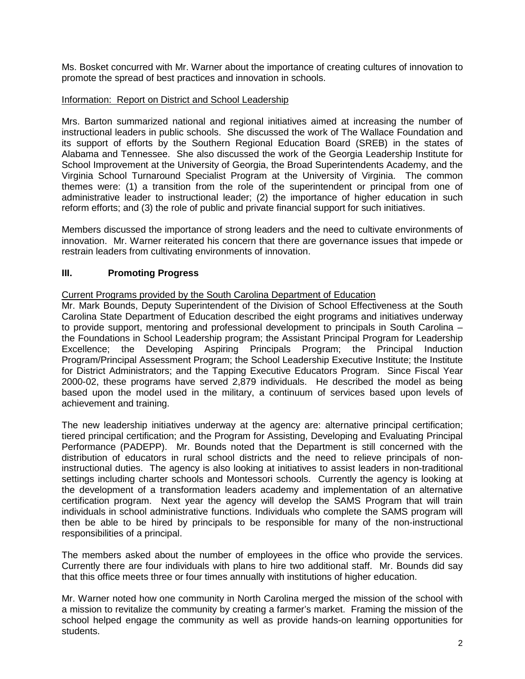Ms. Bosket concurred with Mr. Warner about the importance of creating cultures of innovation to promote the spread of best practices and innovation in schools.

### Information: Report on District and School Leadership

Mrs. Barton summarized national and regional initiatives aimed at increasing the number of instructional leaders in public schools. She discussed the work of The Wallace Foundation and its support of efforts by the Southern Regional Education Board (SREB) in the states of Alabama and Tennessee. She also discussed the work of the Georgia Leadership Institute for School Improvement at the University of Georgia, the Broad Superintendents Academy, and the Virginia School Turnaround Specialist Program at the University of Virginia. The common themes were: (1) a transition from the role of the superintendent or principal from one of administrative leader to instructional leader; (2) the importance of higher education in such reform efforts; and (3) the role of public and private financial support for such initiatives.

Members discussed the importance of strong leaders and the need to cultivate environments of innovation. Mr. Warner reiterated his concern that there are governance issues that impede or restrain leaders from cultivating environments of innovation.

## **III. Promoting Progress**

### Current Programs provided by the South Carolina Department of Education

Mr. Mark Bounds, Deputy Superintendent of the Division of School Effectiveness at the South Carolina State Department of Education described the eight programs and initiatives underway to provide support, mentoring and professional development to principals in South Carolina – the Foundations in School Leadership program; the Assistant Principal Program for Leadership Excellence; the Developing Aspiring Principals Program; the Principal Induction Program/Principal Assessment Program; the School Leadership Executive Institute; the Institute for District Administrators; and the Tapping Executive Educators Program. Since Fiscal Year 2000-02, these programs have served 2,879 individuals. He described the model as being based upon the model used in the military, a continuum of services based upon levels of achievement and training.

The new leadership initiatives underway at the agency are: alternative principal certification; tiered principal certification; and the Program for Assisting, Developing and Evaluating Principal Performance (PADEPP). Mr. Bounds noted that the Department is still concerned with the distribution of educators in rural school districts and the need to relieve principals of noninstructional duties. The agency is also looking at initiatives to assist leaders in non-traditional settings including charter schools and Montessori schools. Currently the agency is looking at the development of a transformation leaders academy and implementation of an alternative certification program. Next year the agency will develop the SAMS Program that will train individuals in school administrative functions. Individuals who complete the SAMS program will then be able to be hired by principals to be responsible for many of the non-instructional responsibilities of a principal.

The members asked about the number of employees in the office who provide the services. Currently there are four individuals with plans to hire two additional staff. Mr. Bounds did say that this office meets three or four times annually with institutions of higher education.

Mr. Warner noted how one community in North Carolina merged the mission of the school with a mission to revitalize the community by creating a farmer's market. Framing the mission of the school helped engage the community as well as provide hands-on learning opportunities for students.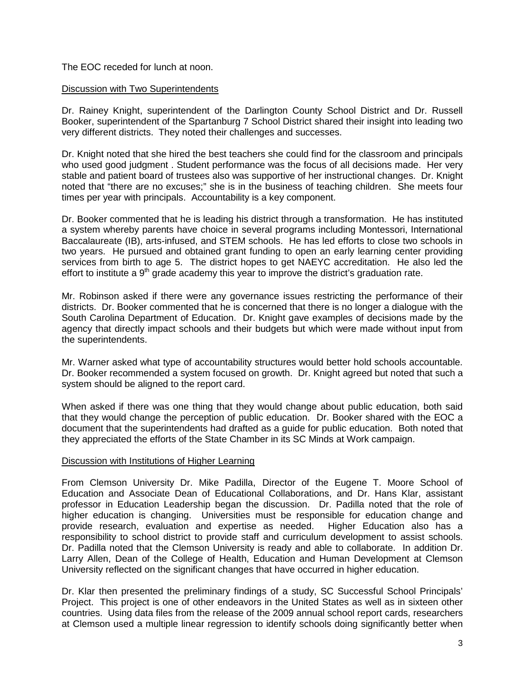## The EOC receded for lunch at noon.

### Discussion with Two Superintendents

Dr. Rainey Knight, superintendent of the Darlington County School District and Dr. Russell Booker, superintendent of the Spartanburg 7 School District shared their insight into leading two very different districts. They noted their challenges and successes.

Dr. Knight noted that she hired the best teachers she could find for the classroom and principals who used good judgment . Student performance was the focus of all decisions made. Her very stable and patient board of trustees also was supportive of her instructional changes. Dr. Knight noted that "there are no excuses;" she is in the business of teaching children. She meets four times per year with principals. Accountability is a key component.

Dr. Booker commented that he is leading his district through a transformation. He has instituted a system whereby parents have choice in several programs including Montessori, International Baccalaureate (IB), arts-infused, and STEM schools. He has led efforts to close two schools in two years. He pursued and obtained grant funding to open an early learning center providing services from birth to age 5. The district hopes to get NAEYC accreditation. He also led the effort to institute a  $9<sup>th</sup>$  grade academy this year to improve the district's graduation rate.

Mr. Robinson asked if there were any governance issues restricting the performance of their districts. Dr. Booker commented that he is concerned that there is no longer a dialogue with the South Carolina Department of Education. Dr. Knight gave examples of decisions made by the agency that directly impact schools and their budgets but which were made without input from the superintendents.

Mr. Warner asked what type of accountability structures would better hold schools accountable. Dr. Booker recommended a system focused on growth. Dr. Knight agreed but noted that such a system should be aligned to the report card.

When asked if there was one thing that they would change about public education, both said that they would change the perception of public education. Dr. Booker shared with the EOC a document that the superintendents had drafted as a guide for public education. Both noted that they appreciated the efforts of the State Chamber in its SC Minds at Work campaign.

### Discussion with Institutions of Higher Learning

From Clemson University Dr. Mike Padilla, Director of the Eugene T. Moore School of Education and Associate Dean of Educational Collaborations, and Dr. Hans Klar, assistant professor in Education Leadership began the discussion. Dr. Padilla noted that the role of higher education is changing. Universities must be responsible for education change and provide research, evaluation and expertise as needed. Higher Education also has a responsibility to school district to provide staff and curriculum development to assist schools. Dr. Padilla noted that the Clemson University is ready and able to collaborate. In addition Dr. Larry Allen, Dean of the College of Health, Education and Human Development at Clemson University reflected on the significant changes that have occurred in higher education.

Dr. Klar then presented the preliminary findings of a study, SC Successful School Principals' Project. This project is one of other endeavors in the United States as well as in sixteen other countries. Using data files from the release of the 2009 annual school report cards, researchers at Clemson used a multiple linear regression to identify schools doing significantly better when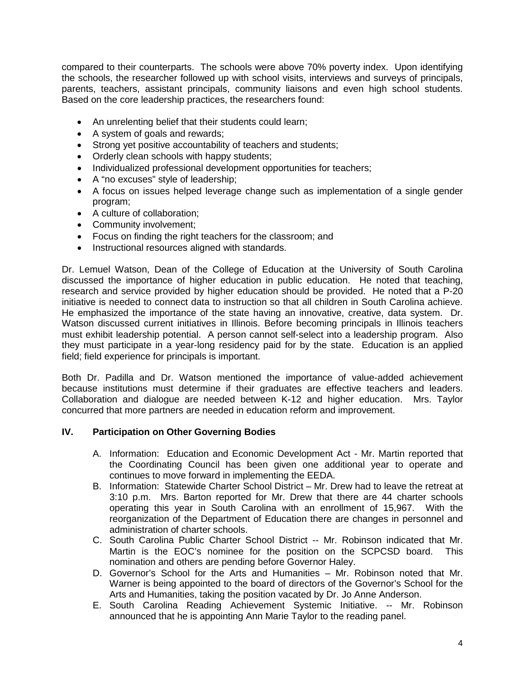compared to their counterparts. The schools were above 70% poverty index. Upon identifying the schools, the researcher followed up with school visits, interviews and surveys of principals, parents, teachers, assistant principals, community liaisons and even high school students. Based on the core leadership practices, the researchers found:

- An unrelenting belief that their students could learn;
- A system of goals and rewards;
- Strong yet positive accountability of teachers and students;
- Orderly clean schools with happy students;
- Individualized professional development opportunities for teachers;
- A "no excuses" style of leadership;
- A focus on issues helped leverage change such as implementation of a single gender program;
- A culture of collaboration;
- Community involvement;
- Focus on finding the right teachers for the classroom; and
- Instructional resources aligned with standards.

Dr. Lemuel Watson, Dean of the College of Education at the University of South Carolina discussed the importance of higher education in public education. He noted that teaching, research and service provided by higher education should be provided. He noted that a P-20 initiative is needed to connect data to instruction so that all children in South Carolina achieve. He emphasized the importance of the state having an innovative, creative, data system. Dr. Watson discussed current initiatives in Illinois. Before becoming principals in Illinois teachers must exhibit leadership potential. A person cannot self-select into a leadership program. Also they must participate in a year-long residency paid for by the state. Education is an applied field; field experience for principals is important.

Both Dr. Padilla and Dr. Watson mentioned the importance of value-added achievement because institutions must determine if their graduates are effective teachers and leaders. Collaboration and dialogue are needed between K-12 and higher education. Mrs. Taylor concurred that more partners are needed in education reform and improvement.

## **IV. Participation on Other Governing Bodies**

- A. Information: Education and Economic Development Act Mr. Martin reported that the Coordinating Council has been given one additional year to operate and continues to move forward in implementing the EEDA.
- B. Information: Statewide Charter School District Mr. Drew had to leave the retreat at 3:10 p.m. Mrs. Barton reported for Mr. Drew that there are 44 charter schools operating this year in South Carolina with an enrollment of 15,967. With the reorganization of the Department of Education there are changes in personnel and administration of charter schools.
- C. South Carolina Public Charter School District -- Mr. Robinson indicated that Mr.<br>Martin is the FOC's nominee for the position on the SCPCSD board. This Martin is the EOC's nominee for the position on the SCPCSD board. nomination and others are pending before Governor Haley.
- D. Governor's School for the Arts and Humanities Mr. Robinson noted that Mr. Warner is being appointed to the board of directors of the Governor's School for the Arts and Humanities, taking the position vacated by Dr. Jo Anne Anderson.
- E. South Carolina Reading Achievement Systemic Initiative. -- Mr. Robinson announced that he is appointing Ann Marie Taylor to the reading panel.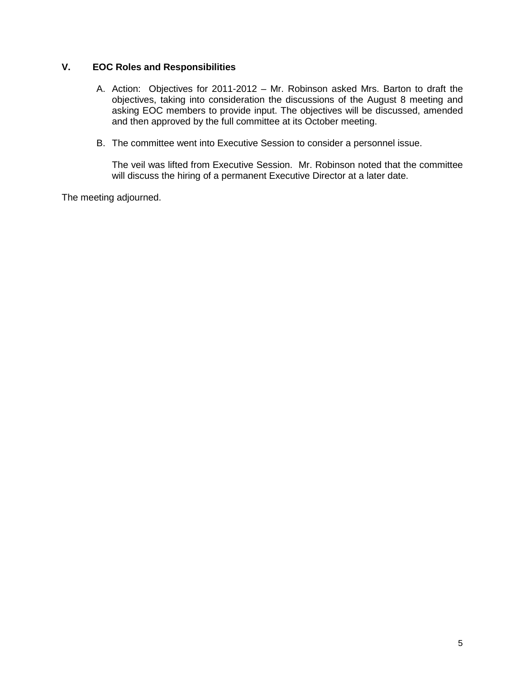# **V. EOC Roles and Responsibilities**

- A. Action: Objectives for 2011-2012 Mr. Robinson asked Mrs. Barton to draft the objectives, taking into consideration the discussions of the August 8 meeting and asking EOC members to provide input. The objectives will be discussed, amended and then approved by the full committee at its October meeting.
- B. The committee went into Executive Session to consider a personnel issue.

The veil was lifted from Executive Session. Mr. Robinson noted that the committee will discuss the hiring of a permanent Executive Director at a later date.

The meeting adjourned.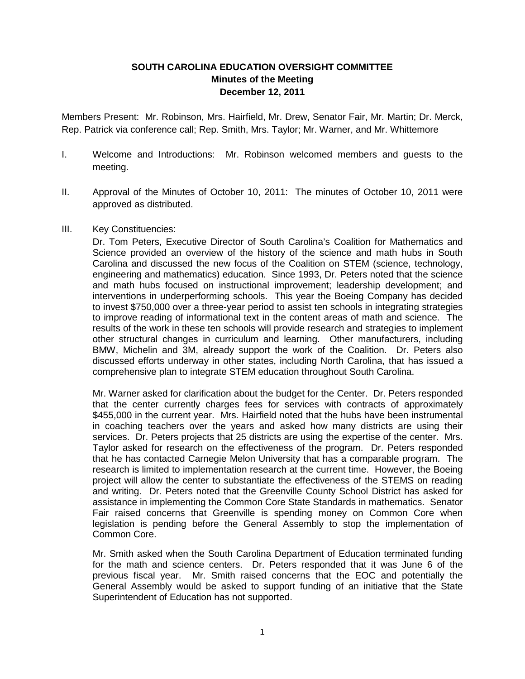# **SOUTH CAROLINA EDUCATION OVERSIGHT COMMITTEE Minutes of the Meeting December 12, 2011**

Members Present: Mr. Robinson, Mrs. Hairfield, Mr. Drew, Senator Fair, Mr. Martin; Dr. Merck, Rep. Patrick via conference call; Rep. Smith, Mrs. Taylor; Mr. Warner, and Mr. Whittemore

- I. Welcome and Introductions: Mr. Robinson welcomed members and guests to the meeting.
- II. Approval of the Minutes of October 10, 2011: The minutes of October 10, 2011 were approved as distributed.
- III. Key Constituencies:

Dr. Tom Peters, Executive Director of South Carolina's Coalition for Mathematics and Science provided an overview of the history of the science and math hubs in South Carolina and discussed the new focus of the Coalition on STEM (science, technology, engineering and mathematics) education. Since 1993, Dr. Peters noted that the science and math hubs focused on instructional improvement; leadership development; and interventions in underperforming schools. This year the Boeing Company has decided to invest \$750,000 over a three-year period to assist ten schools in integrating strategies to improve reading of informational text in the content areas of math and science. The results of the work in these ten schools will provide research and strategies to implement other structural changes in curriculum and learning. Other manufacturers, including BMW, Michelin and 3M, already support the work of the Coalition. Dr. Peters also discussed efforts underway in other states, including North Carolina, that has issued a comprehensive plan to integrate STEM education throughout South Carolina.

Mr. Warner asked for clarification about the budget for the Center. Dr. Peters responded that the center currently charges fees for services with contracts of approximately \$455,000 in the current year. Mrs. Hairfield noted that the hubs have been instrumental in coaching teachers over the years and asked how many districts are using their services. Dr. Peters projects that 25 districts are using the expertise of the center. Mrs. Taylor asked for research on the effectiveness of the program. Dr. Peters responded that he has contacted Carnegie Melon University that has a comparable program. The research is limited to implementation research at the current time. However, the Boeing project will allow the center to substantiate the effectiveness of the STEMS on reading and writing. Dr. Peters noted that the Greenville County School District has asked for assistance in implementing the Common Core State Standards in mathematics. Senator Fair raised concerns that Greenville is spending money on Common Core when legislation is pending before the General Assembly to stop the implementation of Common Core.

Mr. Smith asked when the South Carolina Department of Education terminated funding for the math and science centers. Dr. Peters responded that it was June 6 of the previous fiscal year. Mr. Smith raised concerns that the EOC and potentially the General Assembly would be asked to support funding of an initiative that the State Superintendent of Education has not supported.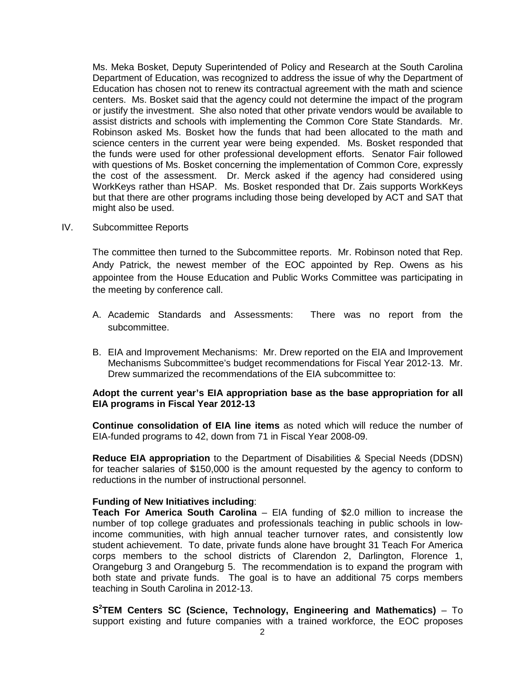Ms. Meka Bosket, Deputy Superintended of Policy and Research at the South Carolina Department of Education, was recognized to address the issue of why the Department of Education has chosen not to renew its contractual agreement with the math and science centers. Ms. Bosket said that the agency could not determine the impact of the program or justify the investment. She also noted that other private vendors would be available to assist districts and schools with implementing the Common Core State Standards. Mr. Robinson asked Ms. Bosket how the funds that had been allocated to the math and science centers in the current year were being expended. Ms. Bosket responded that the funds were used for other professional development efforts. Senator Fair followed with questions of Ms. Bosket concerning the implementation of Common Core, expressly the cost of the assessment. Dr. Merck asked if the agency had considered using WorkKeys rather than HSAP. Ms. Bosket responded that Dr. Zais supports WorkKeys but that there are other programs including those being developed by ACT and SAT that might also be used.

IV. Subcommittee Reports

The committee then turned to the Subcommittee reports. Mr. Robinson noted that Rep. Andy Patrick, the newest member of the EOC appointed by Rep. Owens as his appointee from the House Education and Public Works Committee was participating in the meeting by conference call.

- A. Academic Standards and Assessments: There was no report from the subcommittee.
- B. EIA and Improvement Mechanisms: Mr. Drew reported on the EIA and Improvement Mechanisms Subcommittee's budget recommendations for Fiscal Year 2012-13. Mr. Drew summarized the recommendations of the EIA subcommittee to:

### **Adopt the current year's EIA appropriation base as the base appropriation for all EIA programs in Fiscal Year 2012-13**

**Continue consolidation of EIA line items** as noted which will reduce the number of EIA-funded programs to 42, down from 71 in Fiscal Year 2008-09.

**Reduce EIA appropriation** to the Department of Disabilities & Special Needs (DDSN) for teacher salaries of \$150,000 is the amount requested by the agency to conform to reductions in the number of instructional personnel.

### **Funding of New Initiatives including**:

**Teach For America South Carolina** – EIA funding of \$2.0 million to increase the number of top college graduates and professionals teaching in public schools in lowincome communities, with high annual teacher turnover rates, and consistently low student achievement. To date, private funds alone have brought 31 Teach For America corps members to the school districts of Clarendon 2, Darlington, Florence 1, Orangeburg 3 and Orangeburg 5. The recommendation is to expand the program with both state and private funds. The goal is to have an additional 75 corps members teaching in South Carolina in 2012-13.

**S2 TEM Centers SC (Science, Technology, Engineering and Mathematics)** – To support existing and future companies with a trained workforce, the EOC proposes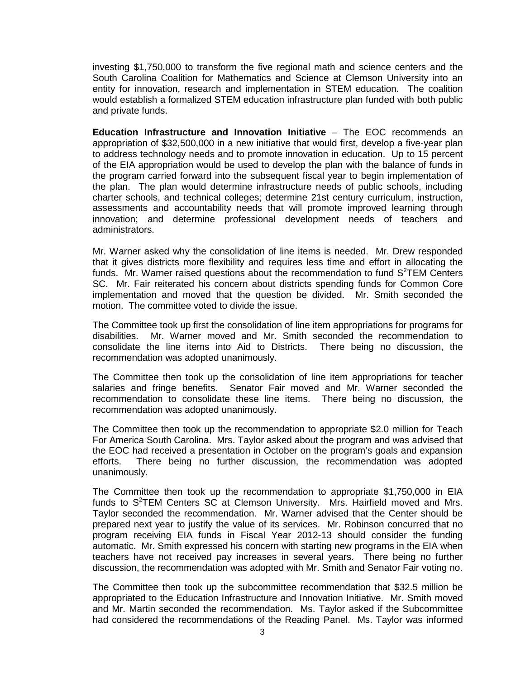investing \$1,750,000 to transform the five regional math and science centers and the South Carolina Coalition for Mathematics and Science at Clemson University into an entity for innovation, research and implementation in STEM education. The coalition would establish a formalized STEM education infrastructure plan funded with both public and private funds.

**Education Infrastructure and Innovation Initiative** – The EOC recommends an appropriation of \$32,500,000 in a new initiative that would first, develop a five-year plan to address technology needs and to promote innovation in education. Up to 15 percent of the EIA appropriation would be used to develop the plan with the balance of funds in the program carried forward into the subsequent fiscal year to begin implementation of the plan. The plan would determine infrastructure needs of public schools, including charter schools, and technical colleges; determine 21st century curriculum, instruction, assessments and accountability needs that will promote improved learning through innovation; and determine professional development needs of teachers and administrators.

Mr. Warner asked why the consolidation of line items is needed. Mr. Drew responded that it gives districts more flexibility and requires less time and effort in allocating the funds. Mr. Warner raised questions about the recommendation to fund  $S^2$ TEM Centers SC. Mr. Fair reiterated his concern about districts spending funds for Common Core implementation and moved that the question be divided. Mr. Smith seconded the motion. The committee voted to divide the issue.

The Committee took up first the consolidation of line item appropriations for programs for disabilities. Mr. Warner moved and Mr. Smith seconded the recommendation to consolidate the line items into Aid to Districts. There being no discussion, the recommendation was adopted unanimously.

The Committee then took up the consolidation of line item appropriations for teacher salaries and fringe benefits. Senator Fair moved and Mr. Warner seconded the recommendation to consolidate these line items. There being no discussion, the recommendation was adopted unanimously.

The Committee then took up the recommendation to appropriate \$2.0 million for Teach For America South Carolina. Mrs. Taylor asked about the program and was advised that the EOC had received a presentation in October on the program's goals and expansion efforts. There being no further discussion, the recommendation was adopted unanimously.

The Committee then took up the recommendation to appropriate \$1,750,000 in EIA funds to  $S^2$ TEM Centers SC at Clemson University. Mrs. Hairfield moved and Mrs. Taylor seconded the recommendation. Mr. Warner advised that the Center should be prepared next year to justify the value of its services. Mr. Robinson concurred that no program receiving EIA funds in Fiscal Year 2012-13 should consider the funding automatic. Mr. Smith expressed his concern with starting new programs in the EIA when teachers have not received pay increases in several years. There being no further discussion, the recommendation was adopted with Mr. Smith and Senator Fair voting no.

The Committee then took up the subcommittee recommendation that \$32.5 million be appropriated to the Education Infrastructure and Innovation Initiative. Mr. Smith moved and Mr. Martin seconded the recommendation. Ms. Taylor asked if the Subcommittee had considered the recommendations of the Reading Panel. Ms. Taylor was informed